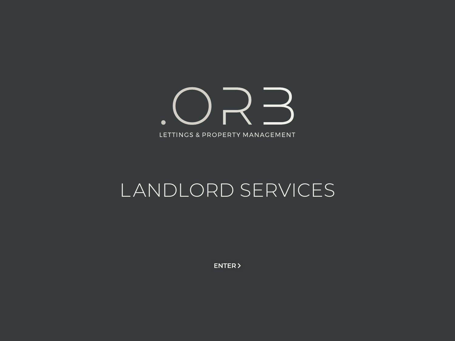ノーく  $\bullet$ LETTINGS & PROPERTY MANAGEMENT

## LANDLORD SERVICES

ENTER >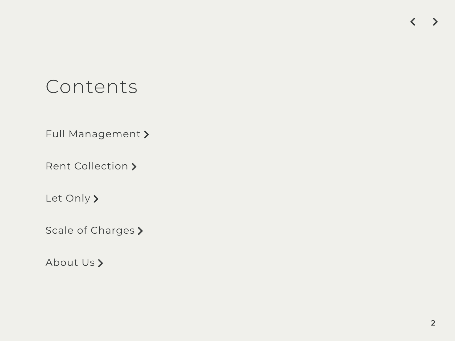## Contents

Full Management<br>Rent Collection **>**<br>Let Only **>**<br>About Us **>** 

### $\blacktriangleright$  $\left\langle \right\rangle$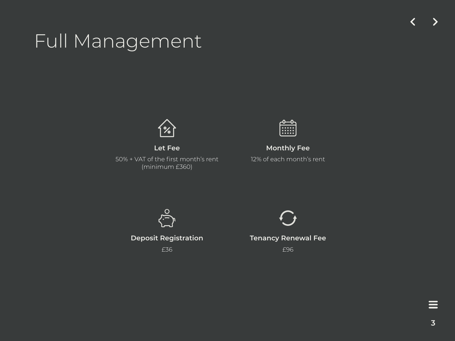**Let Fee** 

50% + VAT of the first month's rent (minimum £360)



**Monthly Fee**  12% of each month's rent



**Deposit Registration** 

£36



**Tenancy Renewal Fee**

£96

 $\equiv$ 

## Full Management

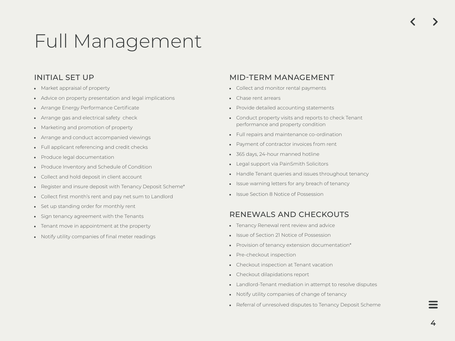## INITIAL SET UP

- Market appraisal of property
- Advice on property presentation and legal implications
- Arrange Energy Performance Certificate
- Arrange gas and electrical safety check
- Marketing and promotion of property
- Arrange and conduct accompanied viewings
- Full applicant referencing and credit checks  $\bullet$
- Produce legal documentation
- Produce Inventory and Schedule of Condition
- Collect and hold deposit in client account  $\bullet$
- Register and insure deposit with Tenancy Deposit Scheme\*  $\bullet$
- Collect first month's rent and pay net sum to Landlord  $\bullet$
- Set up standing order for monthly rent
- Sign tenancy agreement with the Tenants
- Tenant move in appointment at the property
- Notify utility companies of final meter readings

## MID-TERM MANAGEMENT

- Collect and monitor rental payments
- Chase rent arrears
- Provide detailed accounting statements
- Conduct property visits and reports to check Tenant performance and property condition
- Full repairs and maintenance co-ordination
- Payment of contractor invoices from rent
- 365 days, 24-hour manned hotline
- Legal support via PainSmith Solicitors
- Handle Tenant queries and issues throughout tenancy
- Issue warning letters for any breach of tenancy
- Issue Section 8 Notice of Possession

## RENEWALS AND CHECKOUTS

- Tenancy Renewal rent review and advice
- Issue of Section 21 Notice of Possession
- Provision of tenancy extension documentation\*
- Pre-checkout inspection
- Checkout inspection at Tenant vacation
- Checkout dilapidations report
- Landlord-Tenant mediation in attempt to resolve disputes
- Notify utility companies of change of tenancy
- Referral of unresolved disputes to Tenancy Deposit Scheme

## Full Management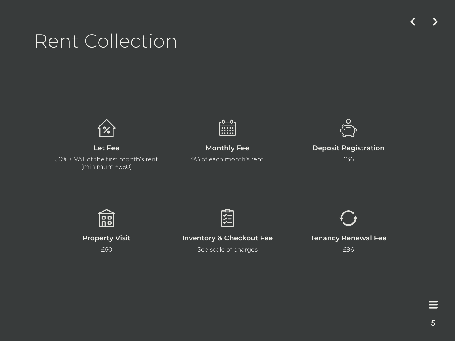**Let Fee**

50% + VAT of the first month's rent (minimum £360)

| г | 0 | $\bullet$ | $\bullet$ | ٥ |
|---|---|-----------|-----------|---|
| г | ∍ | . .       |           | ٦ |
|   | г | 6         | $\bullet$ |   |

**Property Visit** £60

**Monthly Fee**

9% of each month's rent



**Inventory & Checkout Fee**

See scale of charges



### **Deposit Registration**

£36



### **Tenancy Renewal Fee**

£96

## Rent Collection

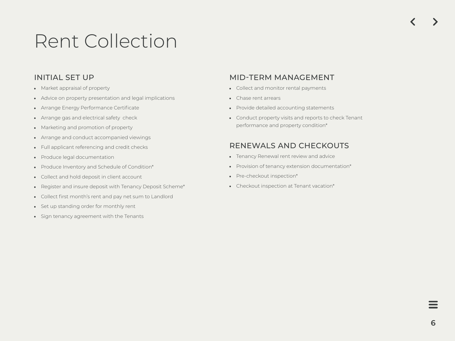## Rent Collection

## INITIAL SET UP

- Market appraisal of property
- Advice on property presentation and legal implications
- Arrange Energy Performance Certificate
- Arrange gas and electrical safety check
- Marketing and promotion of property
- Arrange and conduct accompanied viewings
- Full applicant referencing and credit checks
- Produce legal documentation
- Produce Inventory and Schedule of Condition\*
- Collect and hold deposit in client account
- Register and insure deposit with Tenancy Deposit Scheme\*
- Collect first month's rent and pay net sum to Landlord
- Set up standing order for monthly rent
- Sign tenancy agreement with the Tenants
- Collect and monitor rental payments
- Chase rent arrears
- Provide detailed accounting statements
- Conduct property visits and reports to check Tenant performance and property condition\*

## MID-TERM MANAGEMENT

## RENEWALS AND CHECKOUTS

- Tenancy Renewal rent review and advice
- Provision of tenancy extension documentation\*
- Pre-checkout inspection\*
- Checkout inspection at Tenant vacation\*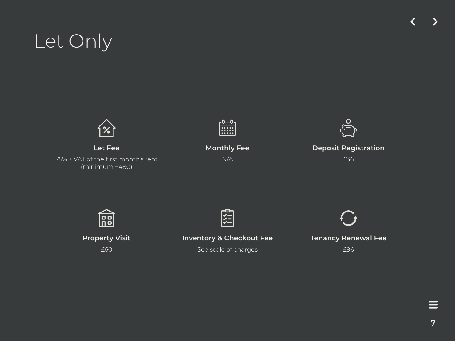

**Property Visit** £60



**Inventory & Checkout Fee**

See scale of charges



### **Tenancy Renewal Fee**

£96

 $\equiv$ 

# Let Only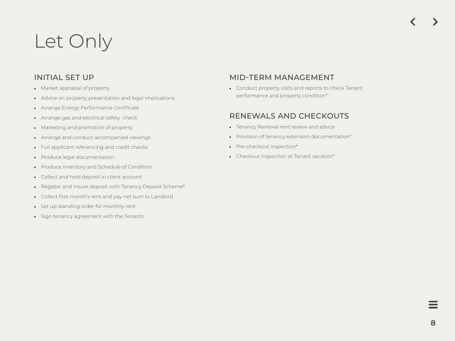# Let Only

### INITIAL SET UP

- Market appraisal of property
- Advice on property presentation and legal implications
- Arrange Energy Performance Certificate
- Arrange gas and electrical safety check
- Marketing and promotion of property
- Arrange and conduct accompanied viewings
- Full applicant referencing and credit checks
- Produce legal documentation
- Produce Inventory and Schedule of Condition
- Collect and hold deposit in client account
- Register and insure deposit with Tenancy Deposit Scheme\*
- Collect first month's rent and pay net sum to Landlord
- Set up standing order for monthly rent
- Sign tenancy agreement with the Tenants

## MID-TERM MANAGEMENT

Conduct property visits and reports to check Tenant performance and property condition\*

## RENEWALS AND CHECKOUTS

- Tenancy Renewal rent review and advice
- Provision of tenancy extension documentation\*
- Pre-checkout inspection\*
- Checkout inspection at Tenant vacation\*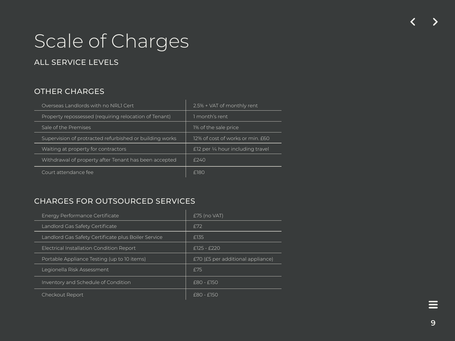# Scale of Charges

## ALL SERVICE LEVELS

## OTHER CHARGES

### CHARGES FOR OUTSOURCED SERVICES

| Overseas Landlords with no NRL1 Cert                    | $2.5\%$ + VAT of monthly rent        |  |
|---------------------------------------------------------|--------------------------------------|--|
| Property repossessed (requiring relocation of Tenant)   | 1 month's rent                       |  |
| Sale of the Premises                                    | 1% of the sale price                 |  |
| Supervision of protracted refurbished or building works | 12% of cost of works or min. £60     |  |
| Waiting at property for contractors                     | $E$ 12 per 1/4 hour including travel |  |
| Withdrawal of property after Tenant has been accepted   | $f$ 240                              |  |
| Court attendance fee                                    | <b>F180</b>                          |  |

| Energy Performance Certificate                      | $E75$ (no VAT)                    |
|-----------------------------------------------------|-----------------------------------|
| Landlord Gas Safety Certificate                     | £72                               |
| Landlord Gas Safety Certificate plus Boiler Service | £135                              |
| Electrical Installation Condition Report            | £125 - £220                       |
| Portable Appliance Testing (up to 10 items)         | £70 (£5 per additional appliance) |
| Legionella Risk Assessment                          | £75                               |
| Inventory and Schedule of Condition                 | £80 - £150                        |
| Checkout Report                                     | £80 - £150                        |

 $\equiv$